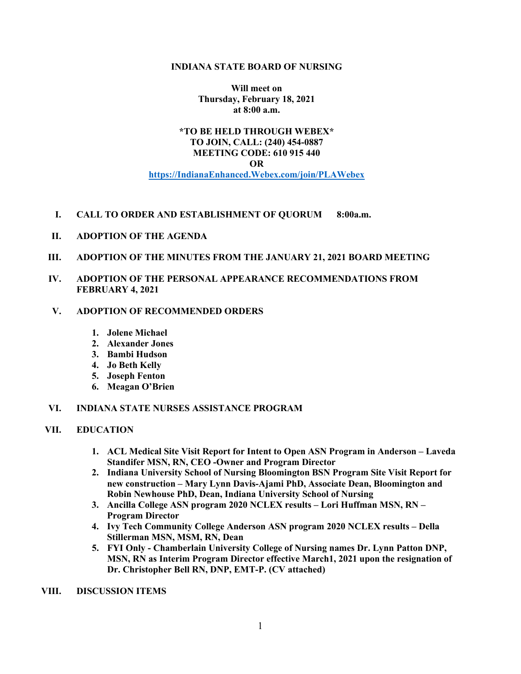#### **INDIANA STATE BOARD OF NURSING**

**Will meet on Thursday, February 18, 2021 at 8:00 a.m.**

# **\*TO BE HELD THROUGH WEBEX\* TO JOIN, CALL: (240) 454-0887 MEETING CODE: 610 915 440 OR https://IndianaEnhanced.Webex.com/join/PLAWebex**

- **I. CALL TO ORDER AND ESTABLISHMENT OF QUORUM 8:00a.m.**
- **II. ADOPTION OF THE AGENDA**
- **III. ADOPTION OF THE MINUTES FROM THE JANUARY 21, 2021 BOARD MEETING**
- **IV. ADOPTION OF THE PERSONAL APPEARANCE RECOMMENDATIONS FROM FEBRUARY 4, 2021**

## **V. ADOPTION OF RECOMMENDED ORDERS**

- **1. Jolene Michael**
- **2. Alexander Jones**
- **3. Bambi Hudson**
- **4. Jo Beth Kelly**
- **5. Joseph Fenton**
- **6. Meagan O'Brien**

## **VI. INDIANA STATE NURSES ASSISTANCE PROGRAM**

## **VII. EDUCATION**

- **1. ACL Medical Site Visit Report for Intent to Open ASN Program in Anderson – Laveda Standifer MSN, RN, CEO -Owner and Program Director**
- **2. Indiana University School of Nursing Bloomington BSN Program Site Visit Report for new construction – Mary Lynn Davis-Ajami PhD, Associate Dean, Bloomington and Robin Newhouse PhD, Dean, Indiana University School of Nursing**
- **3. Ancilla College ASN program 2020 NCLEX results – Lori Huffman MSN, RN – Program Director**
- **4. Ivy Tech Community College Anderson ASN program 2020 NCLEX results – Della Stillerman MSN, MSM, RN, Dean**
- **5. FYI Only - Chamberlain University College of Nursing names Dr. Lynn Patton DNP, MSN, RN as Interim Program Director effective March1, 2021 upon the resignation of Dr. Christopher Bell RN, DNP, EMT-P. (CV attached)**

**VIII. DISCUSSION ITEMS**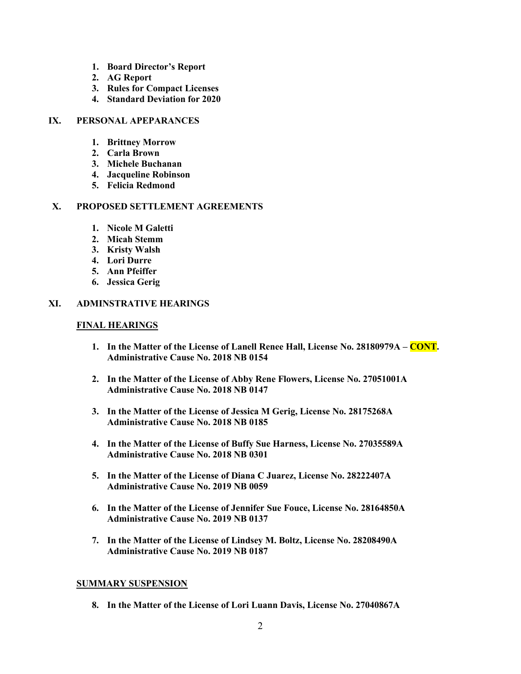- **1. Board Director's Report**
- **2. AG Report**
- **3. Rules for Compact Licenses**
- **4. Standard Deviation for 2020**

#### **IX. PERSONAL APEPARANCES**

- **1. Brittney Morrow**
- **2. Carla Brown**
- **3. Michele Buchanan**
- **4. Jacqueline Robinson**
- **5. Felicia Redmond**

# **X. PROPOSED SETTLEMENT AGREEMENTS**

- **1. Nicole M Galetti**
- **2. Micah Stemm**
- **3. Kristy Walsh**
- **4. Lori Durre**
- **5. Ann Pfeiffer**
- **6. Jessica Gerig**

## **XI. ADMINSTRATIVE HEARINGS**

# **FINAL HEARINGS**

- **1. In the Matter of the License of Lanell Renee Hall, License No. 28180979A – CONT. Administrative Cause No. 2018 NB 0154**
- **2. In the Matter of the License of Abby Rene Flowers, License No. 27051001A Administrative Cause No. 2018 NB 0147**
- **3. In the Matter of the License of Jessica M Gerig, License No. 28175268A Administrative Cause No. 2018 NB 0185**
- **4. In the Matter of the License of Buffy Sue Harness, License No. 27035589A Administrative Cause No. 2018 NB 0301**
- **5. In the Matter of the License of Diana C Juarez, License No. 28222407A Administrative Cause No. 2019 NB 0059**
- **6. In the Matter of the License of Jennifer Sue Fouce, License No. 28164850A Administrative Cause No. 2019 NB 0137**
- **7. In the Matter of the License of Lindsey M. Boltz, License No. 28208490A Administrative Cause No. 2019 NB 0187**

## **SUMMARY SUSPENSION**

**8. In the Matter of the License of Lori Luann Davis, License No. 27040867A**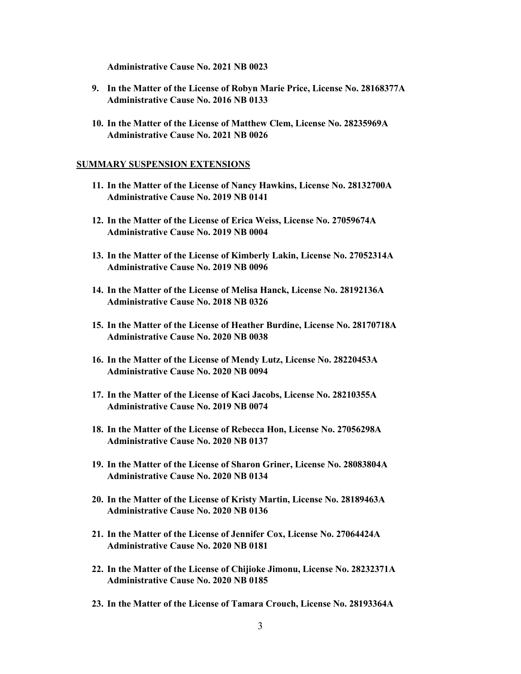**Administrative Cause No. 2021 NB 0023**

- **9. In the Matter of the License of Robyn Marie Price, License No. 28168377A Administrative Cause No. 2016 NB 0133**
- **10. In the Matter of the License of Matthew Clem, License No. 28235969A Administrative Cause No. 2021 NB 0026**

#### **SUMMARY SUSPENSION EXTENSIONS**

- **11. In the Matter of the License of Nancy Hawkins, License No. 28132700A Administrative Cause No. 2019 NB 0141**
- **12. In the Matter of the License of Erica Weiss, License No. 27059674A Administrative Cause No. 2019 NB 0004**
- **13. In the Matter of the License of Kimberly Lakin, License No. 27052314A Administrative Cause No. 2019 NB 0096**
- **14. In the Matter of the License of Melisa Hanck, License No. 28192136A Administrative Cause No. 2018 NB 0326**
- **15. In the Matter of the License of Heather Burdine, License No. 28170718A Administrative Cause No. 2020 NB 0038**
- **16. In the Matter of the License of Mendy Lutz, License No. 28220453A Administrative Cause No. 2020 NB 0094**
- **17. In the Matter of the License of Kaci Jacobs, License No. 28210355A Administrative Cause No. 2019 NB 0074**
- **18. In the Matter of the License of Rebecca Hon, License No. 27056298A Administrative Cause No. 2020 NB 0137**
- **19. In the Matter of the License of Sharon Griner, License No. 28083804A Administrative Cause No. 2020 NB 0134**
- **20. In the Matter of the License of Kristy Martin, License No. 28189463A Administrative Cause No. 2020 NB 0136**
- **21. In the Matter of the License of Jennifer Cox, License No. 27064424A Administrative Cause No. 2020 NB 0181**
- **22. In the Matter of the License of Chijioke Jimonu, License No. 28232371A Administrative Cause No. 2020 NB 0185**
- **23. In the Matter of the License of Tamara Crouch, License No. 28193364A**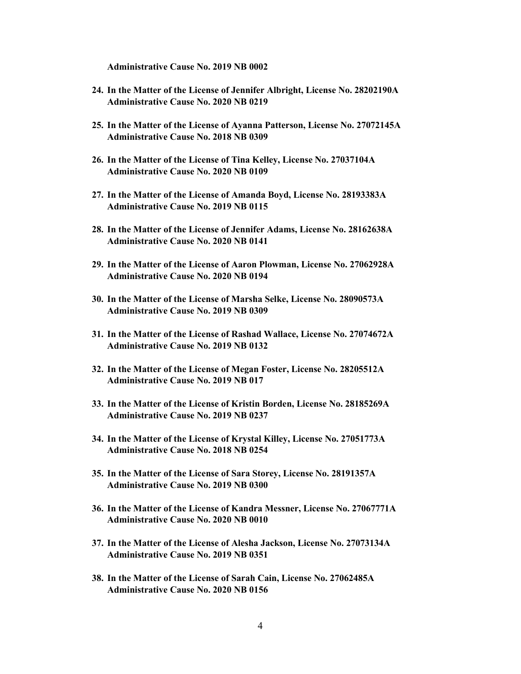**Administrative Cause No. 2019 NB 0002**

- **24. In the Matter of the License of Jennifer Albright, License No. 28202190A Administrative Cause No. 2020 NB 0219**
- **25. In the Matter of the License of Ayanna Patterson, License No. 27072145A Administrative Cause No. 2018 NB 0309**
- **26. In the Matter of the License of Tina Kelley, License No. 27037104A Administrative Cause No. 2020 NB 0109**
- **27. In the Matter of the License of Amanda Boyd, License No. 28193383A Administrative Cause No. 2019 NB 0115**
- **28. In the Matter of the License of Jennifer Adams, License No. 28162638A Administrative Cause No. 2020 NB 0141**
- **29. In the Matter of the License of Aaron Plowman, License No. 27062928A Administrative Cause No. 2020 NB 0194**
- **30. In the Matter of the License of Marsha Selke, License No. 28090573A Administrative Cause No. 2019 NB 0309**
- **31. In the Matter of the License of Rashad Wallace, License No. 27074672A Administrative Cause No. 2019 NB 0132**
- **32. In the Matter of the License of Megan Foster, License No. 28205512A Administrative Cause No. 2019 NB 017**
- **33. In the Matter of the License of Kristin Borden, License No. 28185269A Administrative Cause No. 2019 NB 0237**
- **34. In the Matter of the License of Krystal Killey, License No. 27051773A Administrative Cause No. 2018 NB 0254**
- **35. In the Matter of the License of Sara Storey, License No. 28191357A Administrative Cause No. 2019 NB 0300**
- **36. In the Matter of the License of Kandra Messner, License No. 27067771A Administrative Cause No. 2020 NB 0010**
- **37. In the Matter of the License of Alesha Jackson, License No. 27073134A Administrative Cause No. 2019 NB 0351**
- **38. In the Matter of the License of Sarah Cain, License No. 27062485A Administrative Cause No. 2020 NB 0156**